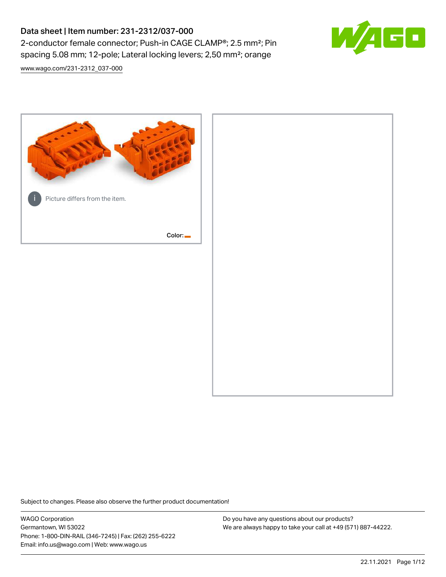# Data sheet | Item number: 231-2312/037-000 2-conductor female connector; Push-in CAGE CLAMP®; 2.5 mm²; Pin spacing 5.08 mm; 12-pole; Lateral locking levers; 2,50 mm²; orange



[www.wago.com/231-2312\\_037-000](http://www.wago.com/231-2312_037-000)



Subject to changes. Please also observe the further product documentation!

WAGO Corporation Germantown, WI 53022 Phone: 1-800-DIN-RAIL (346-7245) | Fax: (262) 255-6222 Email: info.us@wago.com | Web: www.wago.us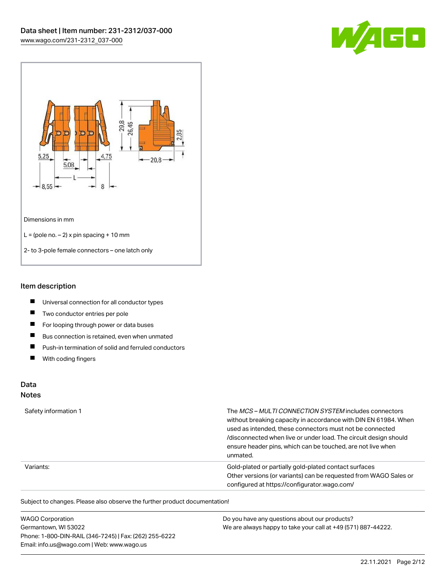



#### Item description

- $\blacksquare$ Universal connection for all conductor types
- $\blacksquare$ Two conductor entries per pole
- $\blacksquare$ For looping through power or data buses
- $\blacksquare$ Bus connection is retained, even when unmated
- $\blacksquare$ Push-in termination of solid and ferruled conductors
- $\blacksquare$ With coding fingers

## Data

#### Notes

| Safety information 1 | The MCS-MULTI CONNECTION SYSTEM includes connectors<br>without breaking capacity in accordance with DIN EN 61984. When<br>used as intended, these connectors must not be connected<br>/disconnected when live or under load. The circuit design should<br>ensure header pins, which can be touched, are not live when<br>unmated. |
|----------------------|-----------------------------------------------------------------------------------------------------------------------------------------------------------------------------------------------------------------------------------------------------------------------------------------------------------------------------------|
| Variants:            | Gold-plated or partially gold-plated contact surfaces<br>Other versions (or variants) can be requested from WAGO Sales or<br>configured at https://configurator.wago.com/                                                                                                                                                         |

Subject to changes. Please also observe the further product documentation!

| <b>WAGO Corporation</b>                                | Do you have any questions about our products?                 |
|--------------------------------------------------------|---------------------------------------------------------------|
| Germantown, WI 53022                                   | We are always happy to take your call at +49 (571) 887-44222. |
| Phone: 1-800-DIN-RAIL (346-7245)   Fax: (262) 255-6222 |                                                               |
| Email: info.us@wago.com   Web: www.wago.us             |                                                               |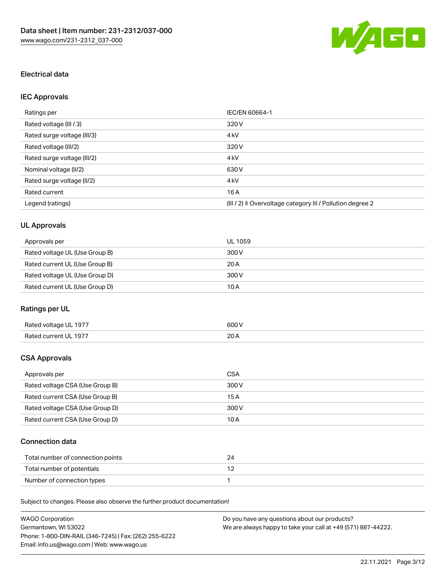

## Electrical data

## IEC Approvals

| Ratings per                 | IEC/EN 60664-1                                                        |
|-----------------------------|-----------------------------------------------------------------------|
| Rated voltage (III / 3)     | 320 V                                                                 |
| Rated surge voltage (III/3) | 4 <sub>k</sub> V                                                      |
| Rated voltage (III/2)       | 320 V                                                                 |
| Rated surge voltage (III/2) | 4 <sub>k</sub> V                                                      |
| Nominal voltage (II/2)      | 630 V                                                                 |
| Rated surge voltage (II/2)  | 4 <sub>k</sub> V                                                      |
| Rated current               | 16A                                                                   |
| Legend (ratings)            | $(III / 2)$ $\triangle$ Overvoltage category III / Pollution degree 2 |

## UL Approvals

| Approvals per                  | UL 1059 |
|--------------------------------|---------|
| Rated voltage UL (Use Group B) | 300 V   |
| Rated current UL (Use Group B) | 20 A    |
| Rated voltage UL (Use Group D) | 300 V   |
| Rated current UL (Use Group D) | 10 A    |

## Ratings per UL

| Rated voltage UL 1977 | 600 V       |
|-----------------------|-------------|
| Rated current UL 1977 | 20h<br>20 A |

### CSA Approvals

| Approvals per                   | CSA   |
|---------------------------------|-------|
| Rated voltage CSA (Use Group B) | 300 V |
| Rated current CSA (Use Group B) | 15 A  |
| Rated voltage CSA (Use Group D) | 300 V |
| Rated current CSA (Use Group D) | 10 A  |

### Connection data

| Total number of connection points |  |
|-----------------------------------|--|
| Total number of potentials        |  |
| Number of connection types        |  |

Subject to changes. Please also observe the further product documentation!

| WAGO Corporation                                       | Do you have any questions about our products?                 |
|--------------------------------------------------------|---------------------------------------------------------------|
| Germantown. WI 53022                                   | We are always happy to take your call at +49 (571) 887-44222. |
| Phone: 1-800-DIN-RAIL (346-7245)   Fax: (262) 255-6222 |                                                               |
| Email: info.us@wago.com   Web: www.wago.us             |                                                               |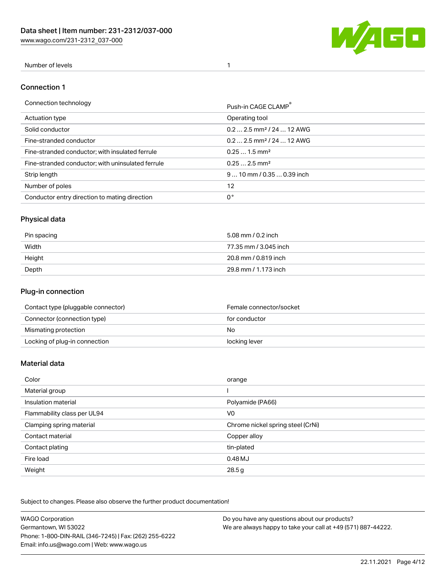[www.wago.com/231-2312\\_037-000](http://www.wago.com/231-2312_037-000)



### Number of levels 1

#### Connection 1

| Connection technology                             | Push-in CAGE CLAMP®                   |
|---------------------------------------------------|---------------------------------------|
| Actuation type                                    | Operating tool                        |
| Solid conductor                                   | $0.22.5$ mm <sup>2</sup> / 24  12 AWG |
| Fine-stranded conductor                           | $0.22.5$ mm <sup>2</sup> / 24  12 AWG |
| Fine-stranded conductor; with insulated ferrule   | $0.251.5$ mm <sup>2</sup>             |
| Fine-stranded conductor; with uninsulated ferrule | $0.252.5$ mm <sup>2</sup>             |
| Strip length                                      | $910$ mm / 0.35  0.39 inch            |
| Number of poles                                   | 12                                    |
| Conductor entry direction to mating direction     | 0°                                    |

## Physical data

| Pin spacing | 5.08 mm / 0.2 inch    |
|-------------|-----------------------|
| Width       | 77.35 mm / 3.045 inch |
| Height      | 20.8 mm / 0.819 inch  |
| Depth       | 29.8 mm / 1.173 inch  |

### Plug-in connection

| Contact type (pluggable connector) | Female connector/socket |
|------------------------------------|-------------------------|
| Connector (connection type)        | for conductor           |
| Mismating protection               | No.                     |
| Locking of plug-in connection      | locking lever           |

#### Material data

| Color                       | orange                            |
|-----------------------------|-----------------------------------|
| Material group              |                                   |
| Insulation material         | Polyamide (PA66)                  |
| Flammability class per UL94 | V <sub>0</sub>                    |
| Clamping spring material    | Chrome nickel spring steel (CrNi) |
| Contact material            | Copper alloy                      |
| Contact plating             | tin-plated                        |
| Fire load                   | 0.48MJ                            |
| Weight                      | 28.5g                             |

Subject to changes. Please also observe the further product documentation!

| <b>WAGO Corporation</b>                                | Do you have any questions about our products?                 |
|--------------------------------------------------------|---------------------------------------------------------------|
| Germantown, WI 53022                                   | We are always happy to take your call at +49 (571) 887-44222. |
| Phone: 1-800-DIN-RAIL (346-7245)   Fax: (262) 255-6222 |                                                               |
| Email: info.us@wago.com   Web: www.wago.us             |                                                               |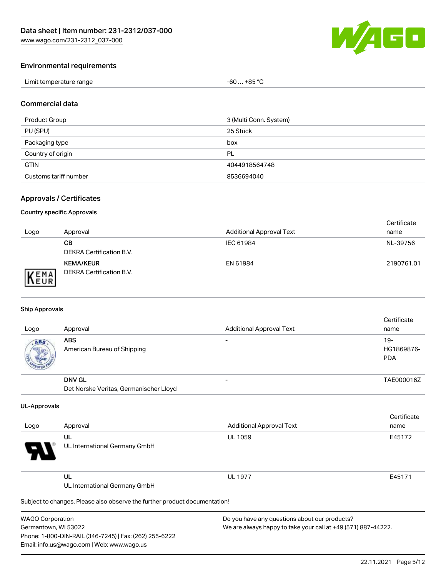

### Environmental requirements

| Limit temperature range | $-60+85 °C$ |
|-------------------------|-------------|
|-------------------------|-------------|

#### Commercial data

| Product Group         | 3 (Multi Conn. System) |
|-----------------------|------------------------|
| PU (SPU)              | 25 Stück               |
| Packaging type        | box                    |
| Country of origin     | PL                     |
| <b>GTIN</b>           | 4044918564748          |
| Customs tariff number | 8536694040             |

### Approvals / Certificates

#### Country specific Approvals

| Logo | Approval                                     | <b>Additional Approval Text</b> | Certificate<br>name |
|------|----------------------------------------------|---------------------------------|---------------------|
|      | CВ<br>DEKRA Certification B.V.               | IEC 61984                       | NL-39756            |
| EMA  | <b>KEMA/KEUR</b><br>DEKRA Certification B.V. | EN 61984                        | 2190761.01          |

#### Ship Approvals

| Logo | Approval                                  | <b>Additional Approval Text</b> | Certificate<br>name                |
|------|-------------------------------------------|---------------------------------|------------------------------------|
| ABS  | <b>ABS</b><br>American Bureau of Shipping |                                 | $19 -$<br>HG1869876-<br><b>PDA</b> |
|      | <b>DNV GL</b>                             |                                 | TAE000016Z                         |
|      | Det Norske Veritas, Germanischer Lloyd    |                                 |                                    |

#### UL-Approvals

| Logo     | Approval                            | <b>Additional Approval Text</b> | Certificate<br>name |
|----------|-------------------------------------|---------------------------------|---------------------|
| Ъ.<br>77 | UL<br>UL International Germany GmbH | <b>UL 1059</b>                  | E45172              |
|          | UL<br>UL International Germany GmbH | <b>UL 1977</b>                  | E45171              |

Subject to changes. Please also observe the further product documentation!

WAGO Corporation Germantown, WI 53022 Phone: 1-800-DIN-RAIL (346-7245) | Fax: (262) 255-6222 Email: info.us@wago.com | Web: www.wago.us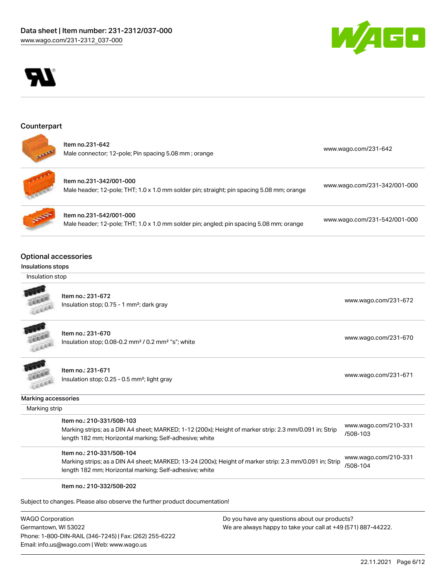



#### **Counterpart**





Item no.231-342/001-000 Male header; 12-pole; THT; 1.0 x 1.0 mm solder pin; straight; pin spacing 5.08 mm; orange [www.wago.com/231-342/001-000](https://www.wago.com/231-342/001-000)



Item no.231-542/001-000 Male header; 12-pole; THT; 1.0 x 1.0 mm solder pin; angled; pin spacing 5.08 mm; orange [www.wago.com/231-542/001-000](https://www.wago.com/231-542/001-000)

### Optional accessories

#### Insulations stops

#### Insulation stop



Item no.: 231-672 Insulation stop; 0.75 - 1 mm<sup>2</sup>; dark gray [www.wago.com/231-672](http://www.wago.com/231-672)<br>Insulation stop; 0.75 - 1 mm<sup>2</sup>; dark gray

**CALL** LEEE

Item no.: 231-670 Insulation stop; 0.08-0.2 mm<sup>2</sup> / 0.2 mm<sup>2</sup> "s"; white [www.wago.com/231-670](http://www.wago.com/231-670) www.wago.com/231-670



Item no.: 231-671 Insulation stop; 0.25 - 0.5 mm²; light gray [www.wago.com/231-671](http://www.wago.com/231-671) www.wago.com/231-671

#### Marking accessories

| Marking strip |
|---------------|

| ltem no.: 210-331/508-103                                                                              | www.wago.com/210-331 |
|--------------------------------------------------------------------------------------------------------|----------------------|
| Marking strips; as a DIN A4 sheet; MARKED; 1-12 (200x); Height of marker strip: 2.3 mm/0.091 in; Strip | /508-103             |
| length 182 mm; Horizontal marking; Self-adhesive; white                                                |                      |

Item no.: 210-331/508-104 Marking strips; as a DIN A4 sheet; MARKED; 13-24 (200x); Height of marker strip: 2.3 mm/0.091 in; Strip length 182 mm; Horizontal marking; Self-adhesive; white [www.wago.com/210-331](http://www.wago.com/210-331/508-104) [/508-104](http://www.wago.com/210-331/508-104)

#### Item no.: 210-332/508-202

Subject to changes. Please also observe the further product documentation!

WAGO Corporation Germantown, WI 53022 Phone: 1-800-DIN-RAIL (346-7245) | Fax: (262) 255-6222 Email: info.us@wago.com | Web: www.wago.us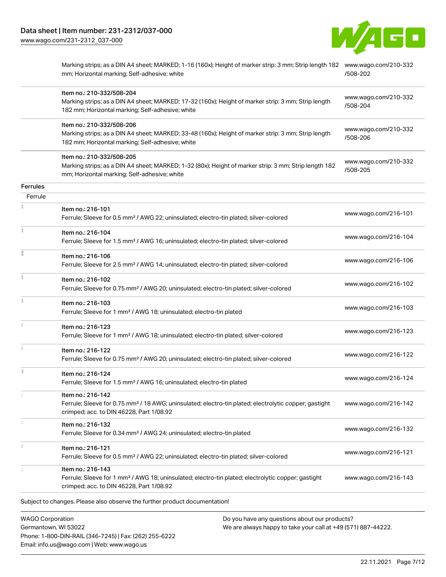W/4GO

[www.wago.com/231-2312\\_037-000](http://www.wago.com/231-2312_037-000)

|                            | Marking strips; as a DIN A4 sheet; MARKED; 1-16 (160x); Height of marker strip: 3 mm; Strip length 182 www.wago.com/210-332<br>mm; Horizontal marking; Self-adhesive; white          | /508-202                         |
|----------------------------|--------------------------------------------------------------------------------------------------------------------------------------------------------------------------------------|----------------------------------|
|                            | Item no.: 210-332/508-204<br>Marking strips; as a DIN A4 sheet; MARKED; 17-32 (160x); Height of marker strip: 3 mm; Strip length<br>182 mm; Horizontal marking; Self-adhesive; white | www.wago.com/210-332<br>/508-204 |
|                            | Item no.: 210-332/508-206<br>Marking strips; as a DIN A4 sheet; MARKED; 33-48 (160x); Height of marker strip: 3 mm; Strip length<br>182 mm; Horizontal marking; Self-adhesive; white | www.wago.com/210-332<br>/508-206 |
|                            | Item no.: 210-332/508-205<br>Marking strips; as a DIN A4 sheet; MARKED; 1-32 (80x); Height of marker strip: 3 mm; Strip length 182<br>mm; Horizontal marking; Self-adhesive; white   | www.wago.com/210-332<br>/508-205 |
| <b>Ferrules</b><br>Ferrule |                                                                                                                                                                                      |                                  |
|                            | Item no.: 216-101<br>Ferrule; Sleeve for 0.5 mm <sup>2</sup> / AWG 22; uninsulated; electro-tin plated; silver-colored                                                               | www.wago.com/216-101             |
| š                          | Item no.: 216-104<br>Ferrule; Sleeve for 1.5 mm <sup>2</sup> / AWG 16; uninsulated; electro-tin plated; silver-colored                                                               | www.wago.com/216-104             |
|                            | Item no.: 216-106<br>Ferrule; Sleeve for 2.5 mm <sup>2</sup> / AWG 14; uninsulated; electro-tin plated; silver-colored                                                               | www.wago.com/216-106             |
|                            | Item no.: 216-102<br>Ferrule; Sleeve for 0.75 mm <sup>2</sup> / AWG 20; uninsulated; electro-tin plated; silver-colored                                                              | www.wago.com/216-102             |
|                            | Item no.: 216-103<br>Ferrule; Sleeve for 1 mm <sup>2</sup> / AWG 18; uninsulated; electro-tin plated                                                                                 | www.wago.com/216-103             |
|                            | Item no.: 216-123<br>Ferrule; Sleeve for 1 mm <sup>2</sup> / AWG 18; uninsulated; electro-tin plated; silver-colored                                                                 | www.wago.com/216-123             |
|                            | Item no.: 216-122<br>Ferrule; Sleeve for 0.75 mm <sup>2</sup> / AWG 20; uninsulated; electro-tin plated; silver-colored                                                              | www.wago.com/216-122             |
| B                          | Item no.: 216-124<br>Ferrule; Sleeve for 1.5 mm <sup>2</sup> / AWG 16; uninsulated; electro-tin plated                                                                               | www.wago.com/216-124             |
|                            | Item no.: 216-142<br>Ferrule; Sleeve for 0.75 mm <sup>2</sup> / 18 AWG; uninsulated; electro-tin plated; electrolytic copper; gastight<br>crimped; acc. to DIN 46228, Part 1/08.92   | www.wago.com/216-142             |
|                            | Item no.: 216-132<br>Ferrule; Sleeve for 0.34 mm <sup>2</sup> / AWG 24; uninsulated; electro-tin plated                                                                              | www.wago.com/216-132             |
|                            | Item no.: 216-121<br>Ferrule; Sleeve for 0.5 mm <sup>2</sup> / AWG 22; uninsulated; electro-tin plated; silver-colored                                                               | www.wago.com/216-121             |
|                            | Item no.: 216-143<br>Ferrule; Sleeve for 1 mm <sup>2</sup> / AWG 18; uninsulated; electro-tin plated; electrolytic copper; gastight<br>crimped; acc. to DIN 46228, Part 1/08.92      | www.wago.com/216-143             |
|                            | Subject to changes. Please also observe the further product documentation!                                                                                                           |                                  |
| $MACO$ Corporation         | $\Omega$ a veu boye any questions about our products?                                                                                                                                |                                  |

WAGO Corporation Germantown, WI 53022 Phone: 1-800-DIN-RAIL (346-7245) | Fax: (262) 255-6222 Email: info.us@wago.com | Web: www.wago.us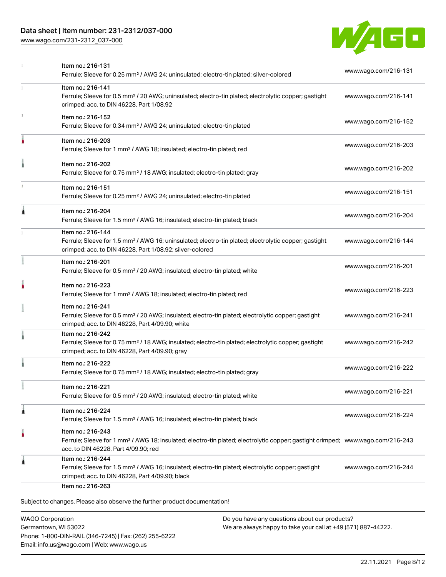### Data sheet | Item number: 231-2312/037-000

[www.wago.com/231-2312\\_037-000](http://www.wago.com/231-2312_037-000)



|   | Item no.: 216-131<br>Ferrule; Sleeve for 0.25 mm <sup>2</sup> / AWG 24; uninsulated; electro-tin plated; silver-colored                                                                                 | www.wago.com/216-131 |
|---|---------------------------------------------------------------------------------------------------------------------------------------------------------------------------------------------------------|----------------------|
|   | Item no.: 216-141<br>Ferrule; Sleeve for 0.5 mm <sup>2</sup> / 20 AWG; uninsulated; electro-tin plated; electrolytic copper; gastight<br>crimped; acc. to DIN 46228, Part 1/08.92                       | www.wago.com/216-141 |
|   | Item no.: 216-152<br>Ferrule; Sleeve for 0.34 mm <sup>2</sup> / AWG 24; uninsulated; electro-tin plated                                                                                                 | www.wago.com/216-152 |
|   | Item no.: 216-203<br>Ferrule; Sleeve for 1 mm <sup>2</sup> / AWG 18; insulated; electro-tin plated; red                                                                                                 | www.wago.com/216-203 |
|   | Item no.: 216-202<br>Ferrule; Sleeve for 0.75 mm <sup>2</sup> / 18 AWG; insulated; electro-tin plated; gray                                                                                             | www.wago.com/216-202 |
| ı | Item no.: 216-151<br>Ferrule; Sleeve for 0.25 mm <sup>2</sup> / AWG 24; uninsulated; electro-tin plated                                                                                                 | www.wago.com/216-151 |
| Â | Item no.: 216-204<br>Ferrule; Sleeve for 1.5 mm <sup>2</sup> / AWG 16; insulated; electro-tin plated; black                                                                                             | www.wago.com/216-204 |
|   | Item no.: 216-144<br>Ferrule; Sleeve for 1.5 mm <sup>2</sup> / AWG 16; uninsulated; electro-tin plated; electrolytic copper; gastight<br>crimped; acc. to DIN 46228, Part 1/08.92; silver-colored       | www.wago.com/216-144 |
|   | Item no.: 216-201<br>Ferrule; Sleeve for 0.5 mm <sup>2</sup> / 20 AWG; insulated; electro-tin plated; white                                                                                             | www.wago.com/216-201 |
|   | Item no.: 216-223<br>Ferrule; Sleeve for 1 mm <sup>2</sup> / AWG 18; insulated; electro-tin plated; red                                                                                                 | www.wago.com/216-223 |
|   | Item no.: 216-241<br>Ferrule; Sleeve for 0.5 mm <sup>2</sup> / 20 AWG; insulated; electro-tin plated; electrolytic copper; gastight<br>crimped; acc. to DIN 46228, Part 4/09.90; white                  | www.wago.com/216-241 |
|   | Item no.: 216-242<br>Ferrule; Sleeve for 0.75 mm <sup>2</sup> / 18 AWG; insulated; electro-tin plated; electrolytic copper; gastight<br>crimped; acc. to DIN 46228, Part 4/09.90; gray                  | www.wago.com/216-242 |
|   | Item no.: 216-222<br>Ferrule; Sleeve for 0.75 mm <sup>2</sup> / 18 AWG; insulated; electro-tin plated; gray                                                                                             | www.wago.com/216-222 |
|   | Item no.: 216-221<br>Ferrule; Sleeve for 0.5 mm <sup>2</sup> / 20 AWG; insulated; electro-tin plated; white                                                                                             | www.wago.com/216-221 |
| 1 | Item no.: 216-224<br>Ferrule; Sleeve for 1.5 mm <sup>2</sup> / AWG 16; insulated; electro-tin plated; black                                                                                             | www.wago.com/216-224 |
| ٥ | Item no.: 216-243<br>Ferrule; Sleeve for 1 mm <sup>2</sup> / AWG 18; insulated; electro-tin plated; electrolytic copper; gastight crimped; www.wago.com/216-243<br>acc. to DIN 46228, Part 4/09.90; red |                      |
| 1 | Item no.: 216-244<br>Ferrule; Sleeve for 1.5 mm <sup>2</sup> / AWG 16; insulated; electro-tin plated; electrolytic copper; gastight<br>crimped; acc. to DIN 46228, Part 4/09.90; black                  | www.wago.com/216-244 |

WAGO Corporation Germantown, WI 53022 Phone: 1-800-DIN-RAIL (346-7245) | Fax: (262) 255-6222 Email: info.us@wago.com | Web: www.wago.us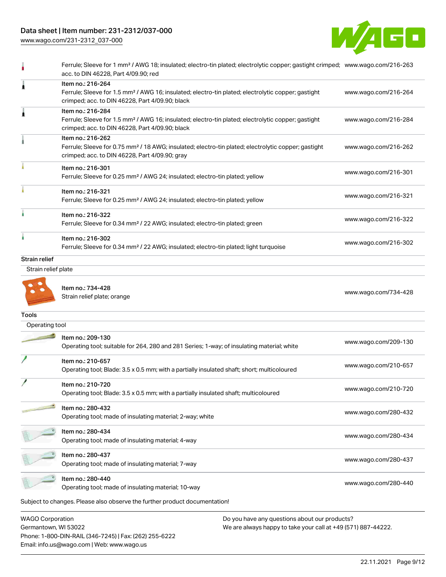## Data sheet | Item number: 231-2312/037-000

[www.wago.com/231-2312\\_037-000](http://www.wago.com/231-2312_037-000)



|                                                 | Ferrule; Sleeve for 1 mm <sup>2</sup> / AWG 18; insulated; electro-tin plated; electrolytic copper; gastight crimped; www.wago.com/216-263<br>acc. to DIN 46228, Part 4/09.90; red     |                                                               |                      |
|-------------------------------------------------|----------------------------------------------------------------------------------------------------------------------------------------------------------------------------------------|---------------------------------------------------------------|----------------------|
|                                                 | Item no.: 216-264<br>Ferrule; Sleeve for 1.5 mm <sup>2</sup> / AWG 16; insulated; electro-tin plated; electrolytic copper; gastight<br>crimped; acc. to DIN 46228, Part 4/09.90; black |                                                               | www.wago.com/216-264 |
|                                                 | Item no.: 216-284<br>Ferrule; Sleeve for 1.5 mm <sup>2</sup> / AWG 16; insulated; electro-tin plated; electrolytic copper; gastight<br>crimped; acc. to DIN 46228, Part 4/09.90; black |                                                               | www.wago.com/216-284 |
|                                                 | Item no.: 216-262<br>Ferrule; Sleeve for 0.75 mm <sup>2</sup> / 18 AWG; insulated; electro-tin plated; electrolytic copper; gastight<br>crimped; acc. to DIN 46228, Part 4/09.90; gray |                                                               | www.wago.com/216-262 |
|                                                 | Item no.: 216-301<br>Ferrule; Sleeve for 0.25 mm <sup>2</sup> / AWG 24; insulated; electro-tin plated; yellow                                                                          |                                                               | www.wago.com/216-301 |
|                                                 | Item no.: 216-321<br>Ferrule; Sleeve for 0.25 mm <sup>2</sup> / AWG 24; insulated; electro-tin plated; yellow                                                                          |                                                               | www.wago.com/216-321 |
|                                                 | Item no.: 216-322<br>Ferrule; Sleeve for 0.34 mm <sup>2</sup> / 22 AWG; insulated; electro-tin plated; green                                                                           |                                                               | www.wago.com/216-322 |
| â                                               | Item no.: 216-302<br>Ferrule; Sleeve for 0.34 mm <sup>2</sup> / 22 AWG; insulated; electro-tin plated; light turquoise                                                                 |                                                               | www.wago.com/216-302 |
| <b>Strain relief</b>                            |                                                                                                                                                                                        |                                                               |                      |
| Strain relief plate                             |                                                                                                                                                                                        |                                                               |                      |
|                                                 | Item no.: 734-428<br>Strain relief plate; orange                                                                                                                                       |                                                               | www.wago.com/734-428 |
| <b>Tools</b>                                    |                                                                                                                                                                                        |                                                               |                      |
| Operating tool                                  |                                                                                                                                                                                        |                                                               |                      |
|                                                 | Item no.: 209-130<br>Operating tool; suitable for 264, 280 and 281 Series; 1-way; of insulating material; white                                                                        |                                                               | www.wago.com/209-130 |
|                                                 | Item no.: 210-657<br>Operating tool; Blade: 3.5 x 0.5 mm; with a partially insulated shaft; short; multicoloured                                                                       |                                                               | www.wago.com/210-657 |
|                                                 | Item no.: 210-720<br>Operating tool; Blade: 3.5 x 0.5 mm; with a partially insulated shaft; multicoloured                                                                              |                                                               | www.wago.com/210-720 |
|                                                 | Item no.: 280-432<br>Operating tool; made of insulating material; 2-way; white                                                                                                         |                                                               | www.wago.com/280-432 |
|                                                 | Item no.: 280-434<br>Operating tool; made of insulating material; 4-way                                                                                                                |                                                               | www.wago.com/280-434 |
|                                                 | Item no.: 280-437<br>Operating tool; made of insulating material; 7-way                                                                                                                |                                                               | www.wago.com/280-437 |
|                                                 | Item no.: 280-440<br>Operating tool; made of insulating material; 10-way                                                                                                               |                                                               | www.wago.com/280-440 |
|                                                 | Subject to changes. Please also observe the further product documentation!                                                                                                             |                                                               |                      |
|                                                 |                                                                                                                                                                                        | Do you have any questions about our products?                 |                      |
| <b>WAGO Corporation</b><br>Germantown, WI 53022 |                                                                                                                                                                                        | We are always happy to take your call at +49 (571) 887-44222. |                      |

Phone: 1-800-DIN-RAIL (346-7245) | Fax: (262) 255-6222 Email: info.us@wago.com | Web: www.wago.us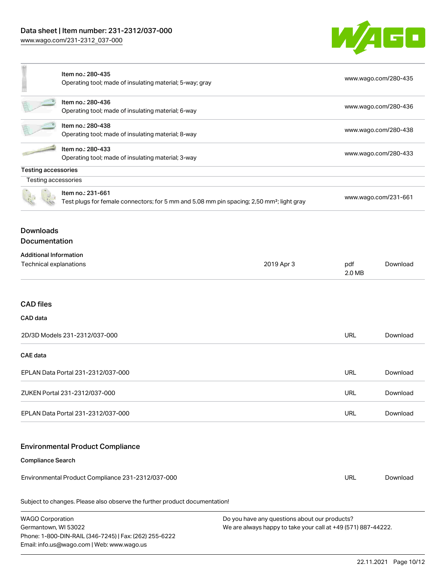

|                                                         | Item no.: 280-435<br>Operating tool; made of insulating material; 5-way; gray                                              |                                                                                                                |                      | www.wago.com/280-435 |  |
|---------------------------------------------------------|----------------------------------------------------------------------------------------------------------------------------|----------------------------------------------------------------------------------------------------------------|----------------------|----------------------|--|
|                                                         |                                                                                                                            |                                                                                                                |                      |                      |  |
|                                                         | Item no.: 280-436<br>Operating tool; made of insulating material; 6-way                                                    |                                                                                                                | www.wago.com/280-436 |                      |  |
|                                                         | Item no.: 280-438<br>Operating tool; made of insulating material; 8-way                                                    |                                                                                                                | www.wago.com/280-438 |                      |  |
|                                                         | Item no.: 280-433<br>Operating tool; made of insulating material; 3-way                                                    |                                                                                                                | www.wago.com/280-433 |                      |  |
| <b>Testing accessories</b>                              |                                                                                                                            |                                                                                                                |                      |                      |  |
| Testing accessories                                     |                                                                                                                            |                                                                                                                |                      |                      |  |
|                                                         | Item no.: 231-661<br>Test plugs for female connectors; for 5 mm and 5.08 mm pin spacing; 2,50 mm <sup>2</sup> ; light gray |                                                                                                                |                      | www.wago.com/231-661 |  |
| <b>Downloads</b><br><b>Documentation</b>                |                                                                                                                            |                                                                                                                |                      |                      |  |
| <b>Additional Information</b><br>Technical explanations |                                                                                                                            | 2019 Apr 3                                                                                                     | pdf<br>2.0 MB        | Download             |  |
| <b>CAD files</b><br>CAD data                            |                                                                                                                            |                                                                                                                |                      |                      |  |
| 2D/3D Models 231-2312/037-000                           |                                                                                                                            |                                                                                                                | <b>URL</b>           | Download             |  |
| <b>CAE data</b>                                         |                                                                                                                            |                                                                                                                |                      |                      |  |
| EPLAN Data Portal 231-2312/037-000                      |                                                                                                                            |                                                                                                                | <b>URL</b>           | Download             |  |
| ZUKEN Portal 231-2312/037-000                           |                                                                                                                            |                                                                                                                | <b>URL</b>           | Download             |  |
| EPLAN Data Portal 231-2312/037-000                      |                                                                                                                            |                                                                                                                | <b>URL</b>           | Download             |  |
|                                                         | <b>Environmental Product Compliance</b>                                                                                    |                                                                                                                |                      |                      |  |
| <b>Compliance Search</b>                                |                                                                                                                            |                                                                                                                |                      |                      |  |
| Environmental Product Compliance 231-2312/037-000       |                                                                                                                            |                                                                                                                | <b>URL</b>           | Download             |  |
|                                                         | Subject to changes. Please also observe the further product documentation!                                                 |                                                                                                                |                      |                      |  |
| <b>WAGO Corporation</b><br>Germantown, WI 53022         | Phone: 1-800-DIN-RAIL (346-7245)   Fax: (262) 255-6222<br>Email: info.us@wago.com   Web: www.wago.us                       | Do you have any questions about our products?<br>We are always happy to take your call at +49 (571) 887-44222. |                      |                      |  |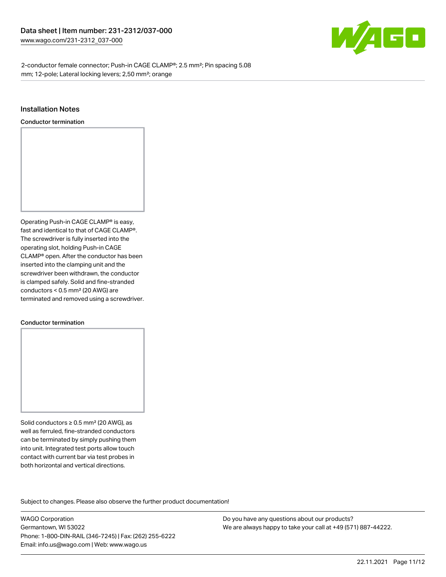

2-conductor female connector; Push-in CAGE CLAMP®; 2.5 mm²; Pin spacing 5.08 mm; 12-pole; Lateral locking levers; 2,50 mm²; orange

#### Installation Notes

Conductor termination



#### Conductor termination

Solid conductors ≥ 0.5 mm² (20 AWG), as well as ferruled, fine-stranded conductors can be terminated by simply pushing them into unit. Integrated test ports allow touch contact with current bar via test probes in both horizontal and vertical directions.

Subject to changes. Please also observe the further product documentation! Product family

WAGO Corporation Germantown, WI 53022 Phone: 1-800-DIN-RAIL (346-7245) | Fax: (262) 255-6222 Email: info.us@wago.com | Web: www.wago.us